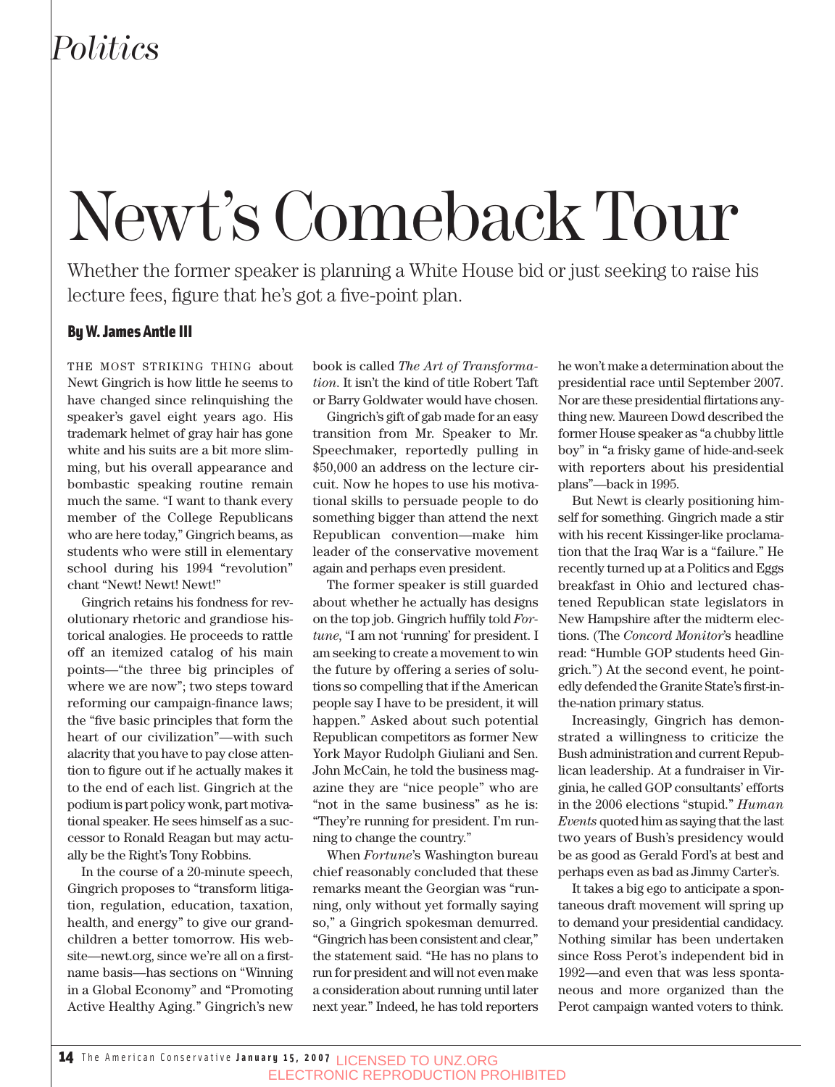## *Politics*

# Newt's Comeback Tour

Whether the former speaker is planning a White House bid or just seeking to raise his lecture fees, figure that he's got a five-point plan.

#### By W. James Antle III

THE MOST STRIKING THING about Newt Gingrich is how little he seems to have changed since relinquishing the speaker's gavel eight years ago. His trademark helmet of gray hair has gone white and his suits are a bit more slimming, but his overall appearance and bombastic speaking routine remain much the same. "I want to thank every member of the College Republicans who are here today," Gingrich beams, as students who were still in elementary school during his 1994 "revolution" chant "Newt! Newt! Newt!"

Gingrich retains his fondness for revolutionary rhetoric and grandiose historical analogies. He proceeds to rattle off an itemized catalog of his main points—"the three big principles of where we are now"; two steps toward reforming our campaign-finance laws; the "five basic principles that form the heart of our civilization"—with such alacrity that you have to pay close attention to figure out if he actually makes it to the end of each list. Gingrich at the podium is part policy wonk, part motivational speaker. He sees himself as a successor to Ronald Reagan but may actually be the Right's Tony Robbins.

In the course of a 20-minute speech, Gingrich proposes to "transform litigation, regulation, education, taxation, health, and energy" to give our grandchildren a better tomorrow. His website—newt.org, since we're all on a firstname basis—has sections on "Winning in a Global Economy" and "Promoting Active Healthy Aging." Gingrich's new

book is called *The Art of Transformation*. It isn't the kind of title Robert Taft or Barry Goldwater would have chosen.

Gingrich's gift of gab made for an easy transition from Mr. Speaker to Mr. Speechmaker, reportedly pulling in \$50,000 an address on the lecture circuit. Now he hopes to use his motivational skills to persuade people to do something bigger than attend the next Republican convention—make him leader of the conservative movement again and perhaps even president.

The former speaker is still guarded about whether he actually has designs on the top job. Gingrich huffily told *Fortune*, "I am not 'running' for president. I am seeking to create a movement to win the future by offering a series of solutions so compelling that if the American people say I have to be president, it will happen." Asked about such potential Republican competitors as former New York Mayor Rudolph Giuliani and Sen. John McCain, he told the business magazine they are "nice people" who are "not in the same business" as he is: "They're running for president. I'm running to change the country."

When *Fortune*'s Washington bureau chief reasonably concluded that these remarks meant the Georgian was "running, only without yet formally saying so," a Gingrich spokesman demurred. "Gingrich has been consistent and clear," the statement said. "He has no plans to run for president and will not even make a consideration about running until later next year." Indeed, he has told reporters he won't make a determination about the presidential race until September 2007. Nor are these presidential flirtations anything new. Maureen Dowd described the former House speaker as "a chubby little boy" in "a frisky game of hide-and-seek with reporters about his presidential plans"—back in 1995.

But Newt is clearly positioning himself for something. Gingrich made a stir with his recent Kissinger-like proclamation that the Iraq War is a "failure." He recently turned up at a Politics and Eggs breakfast in Ohio and lectured chastened Republican state legislators in New Hampshire after the midterm elections. (The *Concord Monitor*'s headline read: "Humble GOP students heed Gingrich.") At the second event, he pointedly defended the Granite State's first-inthe-nation primary status.

Increasingly, Gingrich has demonstrated a willingness to criticize the Bush administration and current Republican leadership. At a fundraiser in Virginia, he called GOP consultants' efforts in the 2006 elections "stupid." *Human Events* quoted him as saying that the last two years of Bush's presidency would be as good as Gerald Ford's at best and perhaps even as bad as Jimmy Carter's.

It takes a big ego to anticipate a spontaneous draft movement will spring up to demand your presidential candidacy. Nothing similar has been undertaken since Ross Perot's independent bid in 1992—and even that was less spontaneous and more organized than the Perot campaign wanted voters to think.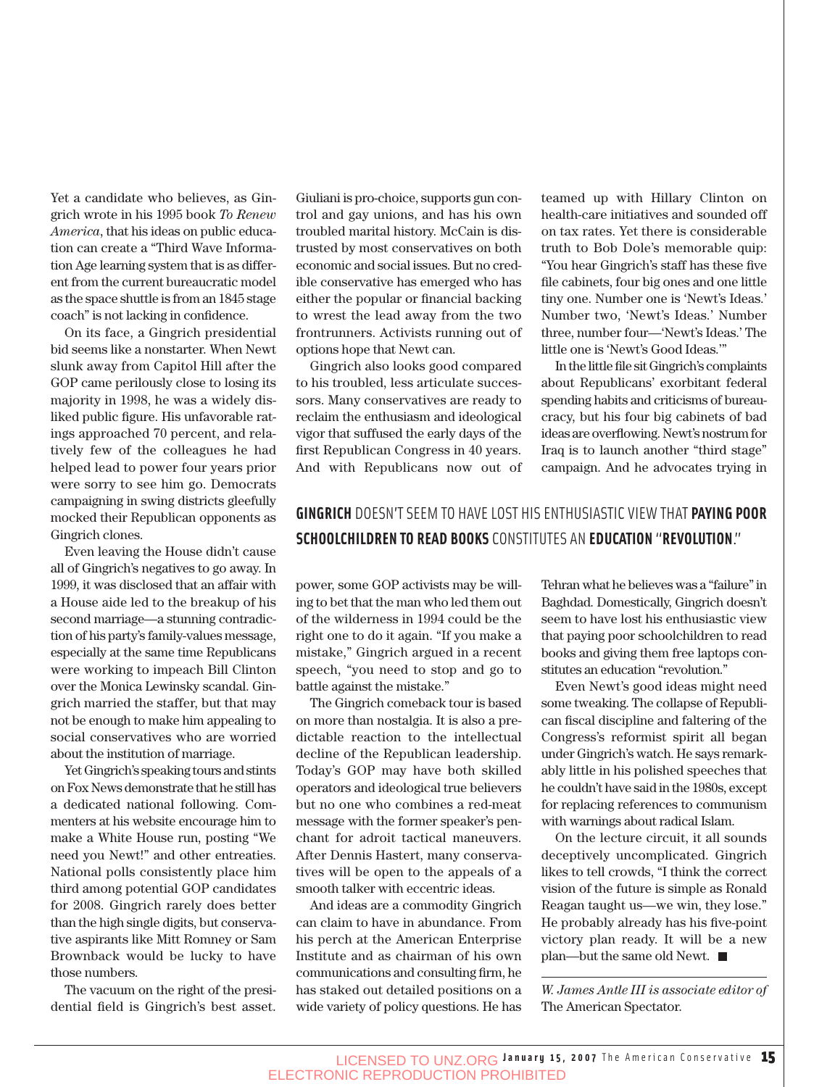Yet a candidate who believes, as Gingrich wrote in his 1995 book *To Renew America*, that his ideas on public education can create a "Third Wave Information Age learning system that is as different from the current bureaucratic model as the space shuttle is from an 1845 stage coach" is not lacking in confidence.

On its face, a Gingrich presidential bid seems like a nonstarter. When Newt slunk away from Capitol Hill after the GOP came perilously close to losing its majority in 1998, he was a widely disliked public figure. His unfavorable ratings approached 70 percent, and relatively few of the colleagues he had helped lead to power four years prior were sorry to see him go. Democrats campaigning in swing districts gleefully mocked their Republican opponents as Gingrich clones.

Even leaving the House didn't cause all of Gingrich's negatives to go away. In 1999, it was disclosed that an affair with a House aide led to the breakup of his second marriage—a stunning contradiction of his party's family-values message, especially at the same time Republicans were working to impeach Bill Clinton over the Monica Lewinsky scandal. Gingrich married the staffer, but that may not be enough to make him appealing to social conservatives who are worried about the institution of marriage.

Yet Gingrich's speaking tours and stints on Fox News demonstrate that he still has a dedicated national following. Commenters at his website encourage him to make a White House run, posting "We need you Newt!" and other entreaties. National polls consistently place him third among potential GOP candidates for 2008. Gingrich rarely does better than the high single digits, but conservative aspirants like Mitt Romney or Sam Brownback would be lucky to have those numbers.

The vacuum on the right of the presidential field is Gingrich's best asset.

Giuliani is pro-choice, supports gun control and gay unions, and has his own troubled marital history. McCain is distrusted by most conservatives on both economic and social issues. But no credible conservative has emerged who has either the popular or financial backing to wrest the lead away from the two frontrunners. Activists running out of options hope that Newt can.

Gingrich also looks good compared to his troubled, less articulate successors. Many conservatives are ready to reclaim the enthusiasm and ideological vigor that suffused the early days of the first Republican Congress in 40 years. And with Republicans now out of teamed up with Hillary Clinton on health-care initiatives and sounded off on tax rates. Yet there is considerable truth to Bob Dole's memorable quip: "You hear Gingrich's staff has these five file cabinets, four big ones and one little tiny one. Number one is 'Newt's Ideas.' Number two, 'Newt's Ideas.' Number three, number four—'Newt's Ideas.' The little one is 'Newt's Good Ideas.'"

In the little file sit Gingrich's complaints about Republicans' exorbitant federal spending habits and criticisms of bureaucracy, but his four big cabinets of bad ideas are overflowing. Newt's nostrum for Iraq is to launch another "third stage" campaign. And he advocates trying in

### **GINGRICH** DOESN'T SEEM TO HAVE LOST HIS ENTHUSIASTIC VIEW THAT **PAYING POOR SCHOOLCHILDREN TO READ BOOKS** CONSTITUTES AN **EDUCATION** "**REVOLUTION**."

power, some GOP activists may be willing to bet that the man who led them out of the wilderness in 1994 could be the right one to do it again. "If you make a mistake," Gingrich argued in a recent speech, "you need to stop and go to battle against the mistake."

The Gingrich comeback tour is based on more than nostalgia. It is also a predictable reaction to the intellectual decline of the Republican leadership. Today's GOP may have both skilled operators and ideological true believers but no one who combines a red-meat message with the former speaker's penchant for adroit tactical maneuvers. After Dennis Hastert, many conservatives will be open to the appeals of a smooth talker with eccentric ideas.

And ideas are a commodity Gingrich can claim to have in abundance. From his perch at the American Enterprise Institute and as chairman of his own communications and consulting firm, he has staked out detailed positions on a wide variety of policy questions. He has Tehran what he believes was a "failure" in Baghdad. Domestically, Gingrich doesn't seem to have lost his enthusiastic view that paying poor schoolchildren to read books and giving them free laptops constitutes an education "revolution."

Even Newt's good ideas might need some tweaking. The collapse of Republican fiscal discipline and faltering of the Congress's reformist spirit all began under Gingrich's watch. He says remarkably little in his polished speeches that he couldn't have said in the 1980s, except for replacing references to communism with warnings about radical Islam.

On the lecture circuit, it all sounds deceptively uncomplicated. Gingrich likes to tell crowds, "I think the correct vision of the future is simple as Ronald Reagan taught us—we win, they lose." He probably already has his five-point victory plan ready. It will be a new plan—but the same old Newt.

*W. James Antle III is associate editor of* The American Spectator.